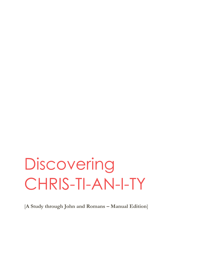# **Discovering** CHRIS-TI-AN-I-TY

[**A Study through John and Romans – Manual Edition**]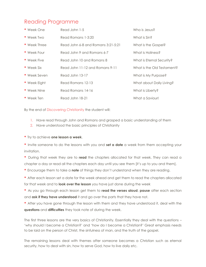### Reading Programme

| • Week One         | Read John 1-5                      | Who is Jesus?              |
|--------------------|------------------------------------|----------------------------|
| • Week Two         | Read Romans 1-3:20                 | What is Sin?               |
| • Week Three       | Read John 6-8 and Romans 3:21-5:21 | What is the Gospel?        |
| • Week Four        | Read John 9 and Romans 6-7         | What is Holiness?          |
| • Week Five        | Read John 10 and Romans 8          | What is Eternal Security?  |
| $\bullet$ Week Six | Read John 11-12 and Romans 9-11    | What is the Old Testament? |
| • Week Seven       | Read John 13-17                    | What is My Purpose?        |
| • Week Eight       | Read Romans 12-13                  | What about Daily Living?   |
| • Week Nine        | Read Romans 14-16                  | What is Liberty?           |
| $\bullet$ Week Ten | Read John 18-21                    | What a Saviour!            |

By the end of Discovering Christianity the student will:

- 1. Have read through John and Romans and grasped a basic understanding of them
- 2. Have understood the basic principles of Christianity
- Try to achieve **one lesson a week**.
- Invite someone to do the lessons with you and **set a date** a week from them accepting your invitation.
- During that week they are to **read** the chapters allocated for that week. They can read a chapter a day or read all the chapters each day until you see them [it's up to you and them].
- Encourage them to take a **note** of things they don't understand when they are reading.
- After each lesson set a date for the week ahead and get them to read the chapters allocated for that week and to **look over the lesson** you have just done during the week
- As you go through each lesson get them to **read the verses aloud**, **pause** after each section and **ask if they have understood** it and go over the parts that they have not.
- After you have gone through the lesson with them and they have understood it, deal with the **questions** and **difficulties** they took note of during the week.

The first three lessons are the very basics of Christianity. Essentially they deal with the questions – 'why should I become a Christian?' and 'how do I become a Christian?' Great emphasis needs to be laid on the person of Christ, the sinfulness of man, and the truth of the gospel.

The remaining lessons deal with themes after someone becomes a Christian such as eternal security, how to deal with sin, how to serve God, how to live daily etc.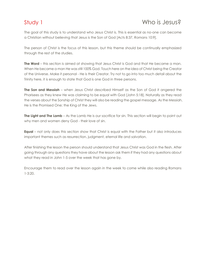### Study 1 and 1 Who is Jesus?

The goal of this study is to understand who Jesus Christ is. This is essential as no-one can become a Christian without believing that Jesus is the Son of God [Acts 8:37, Romans 10:9].

The person of Christ is the focus of this lesson, but this theme should be continually emphasized through the rest of the studies.

**The Word** – this section is aimed at showing that Jesus Christ is God and that He became a man. When He became a man He was still 100% God. Touch here on the idea of Christ being the Creator of the Universe. Make it personal - He is their Creator. Try not to go into too much detail about the Trinity here, it is enough to state that God is one God in three persons.

**The Son and Messiah** – when Jesus Christ described Himself as the Son of God it angered the Pharisees as they knew He was claiming to be equal with God [John 5:18]. Naturally as they read the verses about the Sonship of Christ they will also be reading the gospel message. As the Messiah, He is the Promised One; the King of the Jews.

**The Light and The Lamb** – As the Lamb He is our sacrifice for sin. This section will begin to point out why men and women deny God - their love of sin.

**Equal** – not only does this section show that Christ is equal with the Father but it also introduces important themes such as resurrection, judgment, eternal life and salvation.

After finishing the lesson the person should understand that Jesus Christ was God in the flesh. After going through any questions they have about the lesson ask them if they had any questions about what they read in John 1-5 over the week that has gone by.

Encourage them to read over the lesson again in the week to come while also reading Romans 1-3:20.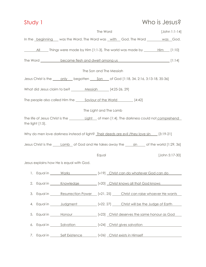# Study 1 Who is Jesus? The Word [John 1:1-14] In the beginning was the Word. The Word was with God. The Word was God. All Things were made by Him [1:1-3]. The world was made by Him [1:10] The Word became flesh and dwelt among us [1:14] [1:14] The Son and The Messiah Jesus Christ is the \_\_\_\_\_only \_\_\_\_ begotten \_\_\_\_\_ Son \_\_\_ of God [1:18, 34, 2:16, 3:13-18, 35-36] What did Jesus claim to be? Messiah [4:25-26, 29] The people also called Him the <u>Saviour of the World [4:42]</u> The Light and The Lamb The life of Jesus Christ is the <u>Light of men</u> [1:4]. The darkness could not comprehend the light [1:5]. Why do men love darkness instead of light? Their deeds are evil /they love sin [3:19-21] Jesus Christ is the *Lamb* of God and He takes away the <u>sin</u> of the world [1:29, 36] Equal [John 5:17-30] Jesus explains how He is equal with God. 1. Equal in Works [v19] Christ can do whatever God can do 2. Equal in <u>Knowledge [v20] Christ knows all that God knows</u>

- 3. Equal in Resurrection Power [v21, 25] Christ can raise whoever He wants
- 4. Equal in Judgment [v22, 27] Christ will be the Judge of Earth
- 5. Equal in <u>Honour</u> Honour [v23] Christ deserves the same honour as God
- 6. Equal in Salvation [v24] Christ gives salvation
- 7. Equal in \_\_\_\_\_\_\_ Self Existence \_\_\_\_\_\_\_\_ [v26] \_\_Christ exists in Himself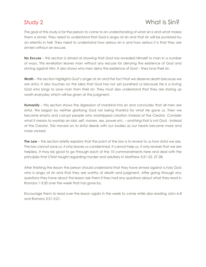### Study 2 What is Sin?

The goal of this study is for the person to come to an understanding of what sin is and what makes them a sinner. They need to understand that God is angry at sin and that sin will be punished by an eternity in hell. They need to understand how serious sin is and how serious it is that they are sinners without an excuse.

**No Excuse** – this section is aimed at showing that God has revealed Himself to man in a number of ways. This revelation leaves man without any excuse for denying the existence of God and sinning against Him. It also shows why men deny the existence of God – they love their sin.

**Wrath** – this section highlights God's anger at sin and the fact that we deserve death because we are sinful. It also touches on the idea that God has not yet punished us because He is a loving God who longs to save man from their sin. They must also understand that they are storing up wrath everyday which will be given at the judgment.

**Humanity** – this section shows the digression of mankind into sin and concludes that all men are sinful. We began by neither glorifying God nor being thankful for what He gave us. Then we became empty and corrupt people who worshipped creation instead of the Creator. Consider what it means to worship an idol, self, money, sex, power etc. – anything that is not God - instead of the Creator. This moved on to sinful deeds with our bodies as our hearts became more and more wicked.

**The Law** – this section briefly explains that the point of the law is to reveal to us how sinful we are. The law cannot save us, it only leaves us condemned. It cannot help us, it only reveals that we are helpless. It may be good to go through each of the 10 commandments here and deal with the principles that Christ taught regarding murder and adultery in Matthew 5:21-22, 27-28.

After finishing the lesson the person should understand that they have sinned against a holy God who is angry at sin and that they are worthy of death and judgment. After going through any questions they have about the lesson ask them if they had any questions about what they read in Romans 1-3:20 over the week that has gone by.

Encourage them to read over the lesson again in the week to come while also reading John 6-8 and Romans 3:21-5:21.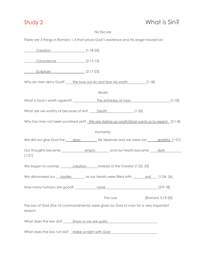# Study 2 What is Sin?

### No Excuse

There are 3 things in Romans 1-3 that prove God's existence and His anger toward sin:

| Creation [1:18-20]                                                                            |
|-----------------------------------------------------------------------------------------------|
| Conscience [2:13-15]                                                                          |
| <u>Scripture</u> [2:17-23]                                                                    |
| Why do men deny God? ___ We love our sin and fear His wrath [1:18]                            |
| Wrath                                                                                         |
|                                                                                               |
| What are we worthy of because of sin? <u>Death [1:32]</u>                                     |
| Why has man not been punished yet? We are storing up wrath/God wants us to repent [2:1-8]     |
| Humanity                                                                                      |
| We did not give God the glory __________ He deserves and we were not _____ grateful [1:21]    |
| [1:21]                                                                                        |
| We began to worship _______ creation _____ instead of the Creator [1:23, 25]                  |
| We dishonored our bodies and as our hearts were filled with evil [1:24, 26]                   |
|                                                                                               |
| The Law [Romans 3:19-20]                                                                      |
| The law of God (the 10 commandments) were given by God to man for a very important<br>reason: |
| What does the law do? _______ Show us we are guilty ____________________________              |
| What does the law not do? Make us right with God                                              |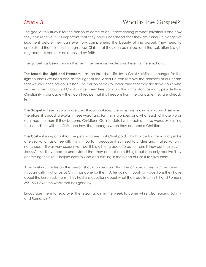### Study 3 What is the Gospel?

The goal of this study is for the person to come to an understanding of what salvation is and how they can receive it. It's important that they have understood that they are sinners in danger of judgment before they can ever fully comprehend the beauty of the gospel. They need to understand that it is only through Jesus Christ that they can be saved, and that salvation is a gift of grace that can only be received by faith.

The gospel has been a minor theme in the previous two lessons, here it is the emphasis.

**The Bread, The Light and Freedom** – as the Bread of Life Jesus Christ satisfies our hunger for the righteousness we need and as the Light of the World He can remove the darkness of our hearts that we saw in the previous lesson. The person needs to understand that they are slaves to sin who will die in their sin but that Christ can set them free from this. This is important as many people think Christianity is bondage – they don't realize that it is freedom from the bondage they are already in.

**The Gospel** – these big words are used throughout scripture, in hymns and in many church services. Therefore, it is good to explain these words and for them to understand what each of those words can mean to them if they become Christians. Go into detail with each of these words explaining their condition without Christ and how that changes when they become a Christian.

**The Cost** – it is important for the person to see that Christ paid a high price for them and yet He offers salvation as a free gift. This is important because they need to understand that salvation is not cheap – it was very expensive – but it is a gift of grace offered to them if they put their trust in Jesus Christ. They need to understand that they cannot earn this gift but can only receive it by confessing their sinful helplessness to God and trusting in the blood of Christ to save them.

After finishing the lesson the person should understand that the only way they can be saved is through faith in what Jesus Christ has done for them. After going through any questions they have about the lesson ask them if they had any questions about what they read in John 6-8 and Romans 3:21-5:21 over the week that has gone by.

Encourage them to read over the lesson again in the week to come while also reading John 9 and Romans 6-7.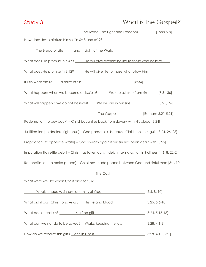# Study 3 What is the Gospel?

|                                                                                                        | The Bread, The Light and Freedom                    | [John 6-8]         |
|--------------------------------------------------------------------------------------------------------|-----------------------------------------------------|--------------------|
| How does Jesus picture Himself in 6:48 and 8:12?                                                       |                                                     |                    |
|                                                                                                        | The Bread of Life and Light of the World            |                    |
| What does He promise in 6:47? _____ He will give everlasting life to those who believe                 |                                                     |                    |
| What does He promise in 8:12? _____ He will give life to those who follow Him                          |                                                     |                    |
|                                                                                                        |                                                     |                    |
| What happens when we become a disciple? _____ We are set free from sin _____ [8:31-36]                 |                                                     |                    |
| What will happen if we do not believe? ____ We will die in our sins _____________ [8:21, 24]           |                                                     |                    |
|                                                                                                        | The Gospel                                          | [Romans 3:21-5:21] |
| Redemption [to buy back] - Christ bought us back from slavery with His blood [3:24]                    |                                                     |                    |
| Justification [to declare righteous] - God pardons us because Christ took our guilt [3:24, 26, 28]     |                                                     |                    |
| Propitiation [to appease wrath] - God's wrath against our sin has been dealt with [3:25]               |                                                     |                    |
| Imputation [to settle debt] - Christ has taken our sin debt making us rich in holiness [4:6, 8, 22-24] |                                                     |                    |
| Reconciliation [to make peace] - Christ has made peace between God and sinful man [5:1, 10]            |                                                     |                    |
|                                                                                                        | The Cost                                            |                    |
| What were we like when Christ died for us?                                                             |                                                     |                    |
|                                                                                                        | Weak, ungodly, sinners, enemies of God [5:6, 8, 10] |                    |
| What did it cost Christ to save us? <u>His life and blood</u> [3:25, 5:6-10]                           |                                                     |                    |
|                                                                                                        |                                                     |                    |
| What can we not do to be saved? Works, keeping the law [3:28, 4:1-6]                                   |                                                     |                    |
| How do we receive this gift? Faith in Christ [19] [3:28, 4:1-8, 5:1]                                   |                                                     |                    |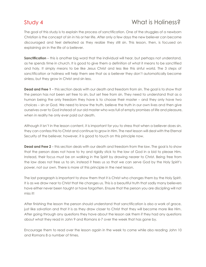### Study 4 What is Holiness?

The goal of this study is to explain the process of sanctification. One of the struggles of a newborn Christian is the concept of sin in his or her life. After only a few days the new believer can become discouraged and feel defeated as they realize they still sin. This lesson, then, is focused on explaining sin in the life of a believer.

**Sanctification** – this is another big word that the individual will hear, but perhaps not understand, as he spends time in church. It is good to give them a definition of what it means to be sanctified and holy. It simply means to be like Jesus Christ and less like this sinful world. The 3 steps of sanctification or holiness will help them see that as a believer they don't automatically become sinless, but they grow in Christ and sin less.

**Dead and Free 1** – this section deals with our death and freedom from sin. The goal is to show that the person has not been set free to sin, but set free from sin. They need to understand that as a human being the only freedom they have is to choose their master – and they only have two choices – sin or God. We need to know the truth, believe the truth in our own lives and then give ourselves over to God instead of our old master who was full of empty promises of life and pleasure, when in reality he only ever paid out death.

Although it isn't in the lesson content, it is important for you to stress that when a believer does sin, they can confess this to Christ and continue to grow in Him. The next lesson will deal with the Eternal Security of the believer, however, it is good to touch on this principle now.

**Dead and Free 2** – this section deals with our death and freedom from the law. The goal is to show that the person does not have to try and rigidly stick to the law of God in a bid to please Him. Instead, their focus must be on walking in the Spirit by drawing nearer to Christ. Being free from the law does not free us to sin, instead it frees us so that we can serve God by the Holy Spirit's power, not our own. There is more of this principle in the next lesson.

The last paragraph is important to show them that it is Christ who changes them by the Holy Spirit. It is as we draw near to Christ that He changes us. This is a beautiful truth that sadly many believers have either never been taught or have forgotten. Ensure that the person you are discipling will not miss it!

After finishing the lesson the person should understand that sanctification is also a work of grace, just like salvation and that it is as they draw closer to Christ that they will become more like Him. After going through any questions they have about the lesson ask them if they had any questions about what they read in John 9 and Romans 6-7 over the week that has gone by.

Encourage them to read over the lesson again in the week to come while also reading John 10 and Romans 8 a number of times.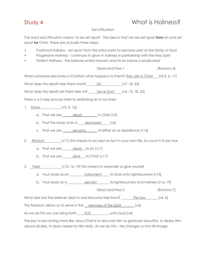### Study 4 What is Holiness?

### Sanctification

The word sanctification means 'to be set apart'. The idea is that we are set apart **from** sin and set apart **for** Christ. There are actually three steps:

- Positional Holiness set apart from the sinful world to become part of the family of God
- Progressive Holiness continues to grow in holiness in partnership with the Holy Spirit
- Perfect Holiness the believer enters heaven and his sin nature is eradicated

Dead and Free 1 [Romans 6]

When someone becomes a Christian what happens to them? They die in Christ [v2-3, 6, 11]

What does this death free them from? Sin [v7, 18, 22]

What does this death set them free to? Serve God [v4, 13, 18, 22]

There is a 3 step process here to defeating sin in our lives:

- 1. <u>Know</u> [v3, 6, 16]
	- a. That we are  $\_\_\_\_\_\_\_\_\_\_\_\_\_\_\_\_\_\$  in Christ  $[v3]$
	- b. That the body of sin is destroyed  $[v6]$
	- c. That we are servants of either sin or obedience [v16]
- 2. Reckon [v11] this means to accept as fact in your own life, to count it to be true
	- a. That we are  $\qquad$  dead to sin [v11]
	- b. That we are alive to Christ [v11]
- 3. Yield [v13, 16, 19] this means to surrender or give yourself

a. Your body as an <u>instrument</u> to God unto righteousness [v13]

b. Your body as a servant to righteousness and holiness [v16, 19]

Dead and Free 2 [Romans 7]

What else has the believer died to and become free from? \_\_\_\_\_\_\_ The law \_\_\_\_\_\_ [v4, 6]

This freedom allows us to serve in the newness of the Spirit [v6]

As we do this we can bring forth fruit unto God [v4]

The key to becoming more like Jesus Christ is to discover Him as gloriously beautiful, to desire Him above all else, to draw nearer to Him daily. As we do this – He changes us into His image.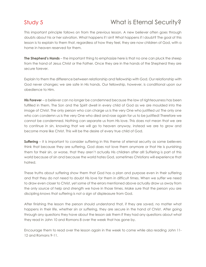### Study 5 What is Eternal Security?

This important principle follows on from the previous lesson. A new believer often goes through doubts about his or her salvation. What happens if I sin? What happens if I doubt? The goal of this lesson is to explain to them that, regardless of how they feel, they are now children of God, with a home in heaven reserved for them.

**The Shepherd's Hands** – the important thing to emphasize here is that no one can pluck the sheep from the hand of Jesus Christ or the Father. Once they are in the hands of the Shepherd they are secure forever.

Explain to them the difference between relationship and fellowship with God. Our relationship with God never changes; we are safe in His hands. Our fellowship, however, is conditional upon our obedience to Him.

**His Forever** – a believer can no longer be condemned because the law of righteousness has been fulfilled in them. The Son and the Spirit dwell in every child of God as we are moulded into the image of Christ. The only person who can charge us is the very One who justified us! The only one who can condemn us is the very One who died and rose again for us to be justified! Therefore we cannot be condemned. Nothing can separate us from His love. This does not mean that we are to continue in sin, knowing that we will go to heaven anyway, instead we are to grow and become more like Christ. This will be the desire of every true child of God.

**Suffering** – it is important to consider suffering in this theme of eternal security as some believers think that because they are suffering, God does not love them anymore or that He is punishing them for their sin, or worse, that they aren't actually His children after all! Suffering is part of this world because of sin and because the world hates God, sometimes Christians will experience that hatred.

These truths about suffering show them that God has a plan and purpose even in their suffering and that they do not need to doubt His love for them in difficult times. When we suffer we need to draw even closer to Christ, yet some of the errors mentioned above actually draw us away from the only source of help and strength we have in those times. Make sure that the person you are discipling knows that suffering is not a sign of displeasure from God.

After finishing the lesson the person should understand that, if they are saved, no matter what happens in their life, whether sin or suffering, they are secure in the hand of Christ. After going through any questions they have about the lesson ask them if they had any questions about what they read in John 10 and Romans 8 over the week that has gone by.

Encourage them to read over the lesson again in the week to come while also reading John 11- 12 and Romans 9-11.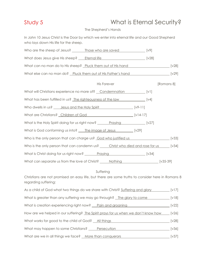### Study 5 What is Eternal Security?

### The Shepherd's Hands

In John 10 Jesus Christ is the Door by which we enter into eternal life and our Good Shepherd who lays down His life for the sheep.

| Who are the sheep of Jesus? _________ Those who are saved _________________ [v9]              |            |
|-----------------------------------------------------------------------------------------------|------------|
| What does Jesus give His sheep? <u>Fternal life</u> [v28]                                     |            |
| What can no man do to His sheep? Pluck them out of His hand [v28]                             |            |
| What else can no man do? Pluck them out of His Father's hand [v29]                            |            |
| <b>His Forever</b>                                                                            | [Romans 8] |
| What will Christians experience no more of? Condemnation [v1]                                 |            |
| What has been fulfilled in us? The righteousness of the law [v4]                              |            |
| Who dwells in us? <u>Jesus and the Holy Spirit [v9-11]</u>                                    |            |
| What are Christians? Children of God [v14-17]                                                 |            |
| What is the Holy Spirit doing for us right now? _________________________________ [v27]       |            |
| What is God conforming us into? The image of Jesus [v29]                                      |            |
| Who is the only person that can charge us? God who justified us [v33]                         |            |
| Who is the only person that can condemn us? _____ Christ who died and rose for us _____ [v34] |            |
| What is Christ doing for us right now? _______ Praying [v34]                                  |            |
| What can separate us from the love of Christ? _____ Nothing _____________________ [v35-39]    |            |

### Suffering

Christians are not promised an easy life, but there are some truths to consider here in Romans 8 regarding suffering:

| As a child of God what two things do we share with Christ? Suffering and glory     | $\lceil v \rceil 7 \rceil$ |
|------------------------------------------------------------------------------------|----------------------------|
| What is greater than any suffering we may go through? The glory to come            | [V18]                      |
| What is creation experiencing right now? Pain and groaning                         | $\lceil \sqrt{22} \rceil$  |
| How are we helped in our suffering? The Spirit prays for us when we don't know how | $\lceil \sqrt{26} \rceil$  |
| What works for good to the child of God? All things                                | $\lceil \sqrt{28} \rceil$  |
| What may happen to some Christians? Persecution                                    | $\lceil v36 \rceil$        |
| What are we in all things we face? More than conquerors                            | $\lceil v37 \rceil$        |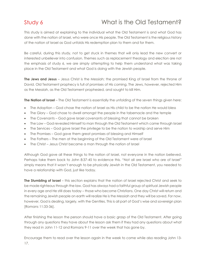### Study 6 What is the Old Testament?

This study is aimed at explaining to the individual what the Old Testament is and what God has done with the nation of Israel, who were once His people. The Old Testament is the religious history of the nation of Israel as God unfolds His redemption plan to them and for them.

Be careful, during this study, not to get stuck in themes that will only lead the new convert or interested unbeliever into confusion. Themes such as replacement theology and election are not the emphasis of study 6, we are simply attempting to help them understand what was taking place in the Old Testament and what God is doing with the Jewish people.

**The Jews and Jesus** – Jesus Christ is the Messiah; the promised King of Israel from the throne of David. Old Testament prophecy is full of promises of His coming. The Jews, however, rejected Him as the Messiah, as the Old Testament prophesied, and sought to kill Him.

**The Nation of Israel** – The Old Testament is essentially the unfolding of the seven things given here:

- The Adoption God chose the nation of Israel as His child to be the nation He would bless
- The Glory God chose to dwell amongst the people in the tabernacle and the temple
- The Covenants God gave Israel covenants of blessing that cannot be broken
- The Law God revealed Himself to man through the Old Testament which came through Israel
- The Services God gave Israel the privilege to be the nation to worship and serve Him
- The Promises God gave them great promises of blessing and Himself
- The Fathers The men at the beginning of the Old Testament were of Israel
- The Christ Jesus Christ became a man through the nation of Israel

Although God gave all these things to the nation of Israel, not everyone in the nation believed. Perhaps take them back to John 8:37-45 to evidence this. "Not all are Israel who are of Israel" simply means that it wasn't enough to be physically Jewish in the Old Testament, you needed to have a relationship with God, just like today.

**The Stumbling of Israel** – this section explains that the nation of Israel rejected Christ and seek to be made righteous through the law. God has always had a faithful group of spiritual Jewish people in every age and He still does today – those who become Christians. One day Christ will return and the remaining Jewish people on earth will realize He is the Messiah and they will be saved. For now, however, God is dealing, largely, with the Gentiles. This is all part of God's wise and sovereign plan [Romans 11:33-36].

After finishing the lesson the person should have a basic grasp of the Old Testament. After going through any questions they have about the lesson ask them if they had any questions about what they read in John 11-12 and Romans 9-11 over the week that has gone by.

Encourage them to read over the lesson again in the week to come while also reading John 13- 17.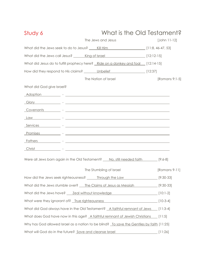| Study 6                                                                                                                                                                                                                             | What is the Old Testament? |                         |                |
|-------------------------------------------------------------------------------------------------------------------------------------------------------------------------------------------------------------------------------------|----------------------------|-------------------------|----------------|
|                                                                                                                                                                                                                                     |                            | The Jews and Jesus      | $[John 11-12]$ |
| What did the Jews seek to do to Jesus? _____ Kill Him _________________________ [11:8, 46-47, 53]                                                                                                                                   |                            |                         |                |
| What did the Jews call Jesus? ______ King of Israel ___________________________ [12:12-15]                                                                                                                                          |                            |                         |                |
| What did Jesus do to fulfill prophecy here? Ride on a donkey and foal [12:14-15]                                                                                                                                                    |                            |                         |                |
| How did they respond to His claims? _______ Unbelief ___________________________ [12:37]                                                                                                                                            |                            |                         |                |
|                                                                                                                                                                                                                                     |                            | The Nation of Israel    | [Romans 9:1-5] |
| What did God give Israel?                                                                                                                                                                                                           |                            |                         |                |
|                                                                                                                                                                                                                                     |                            |                         |                |
|                                                                                                                                                                                                                                     |                            |                         |                |
| Covenants - Covenants - Covenants - Covenants - Covenants - Covenants - Covenants - Covenants - Covenants - Covenants - Covenants - Covenants - Covenants - Covenants - Covenants - Covenants - Covenants - Covenants - Covena      |                            |                         |                |
|                                                                                                                                                                                                                                     |                            |                         |                |
|                                                                                                                                                                                                                                     |                            |                         |                |
| <u>Promises</u> Promises and Promises and Promises and Promises and Promises and Promises and Promises and Promises and Promises and Promises and Promises and Promises and Promises and Promises and Promises and Promises and Pro |                            |                         |                |
| <b>Fathers Example 2020 Figure 2020 Figure 2020 Figure 2020 Figure 2020 Figure 2020 Figure 2020 Figure 2020</b>                                                                                                                     |                            |                         |                |
| <u>Christ</u> Christ Christ Christ Christ Christ Christ Christ Christ Christ Christ Christ Christ Christ Christ Christ Christ Christ Christ Christ Christ Christ Christ Christ Christ Christ Christ Christ Christ Christ Christ Chr |                            |                         |                |
| Were all Jews born again in the Old Testament? <u>No, still needed faith</u> [9:6-8]                                                                                                                                                |                            |                         |                |
|                                                                                                                                                                                                                                     |                            | The Stumbling of Israel | [Romans 9-11]  |
| How did the Jews seek righteousness? ______ Through the Law _____________________ [9:30-33]                                                                                                                                         |                            |                         |                |
| What did the Jews stumble over? The Claims of Jesus as Messiah [9:30-33]                                                                                                                                                            |                            |                         |                |
| What did the Jews have? <u>Zeal without knowledge</u> [10:1-2]                                                                                                                                                                      |                            |                         |                |
| What were they ignorant of? True righteousness                                                                                                                                                                                      |                            |                         | $[10-3-4]$     |
| What did God always have in the Old Testament? A faithful remnant of Jews [11:3-4]                                                                                                                                                  |                            |                         |                |
| What does God have now in this age? A faithful remnant of Jewish Christians [11:5]                                                                                                                                                  |                            |                         |                |
| Why has God allowed Israel as a nation to be blind? To save the Gentiles by faith [11:25]                                                                                                                                           |                            |                         |                |
| What will God do in the future? Save and cleanse Israel                                                                                                                                                                             |                            |                         | [11:26]        |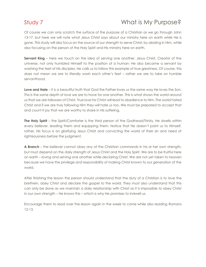### Study 7 Mortis My Purpose?

Of course we can only scratch the surface of the purpose of a Christian as we go through John 13-17, but here we will note what Jesus Christ says about our ministry here on earth while He is gone. This study will also focus on the source of our strength to serve Christ; by abiding in Him, while also focusing on the person of the Holy Spirit and His ministry here on earth.

**Servant King** – here we touch on the idea of serving one another. Jesus Christ, Creator of the universe, not only humbled Himself to the position of a human; He also became a servant by washing the feet of His disciples. He calls us to follow this example of true greatness. Of course, this does not mean we are to literally wash each other's feet – rather we are to take on humble servanthood.

**Love and Hate** – it is a beautiful truth that God the Father loves us the same way He loves the Son. This is the same depth of love we are to have for one another. This is what shows the world around us that we are followers of Christ. True love for Christ will lead to obedience to Him. The world hated Christ and if we are truly following Him they will hate us too. We must be prepared to accept that and count it joy that we are worthy to share in His suffering.

**The Holy Spirit** – the Spirit/Comforter is the third person of the Godhead/Trinity. He dwells within every believer, leading them and equipping them. Notice that He doesn't point us to Himself, rather, His focus is on glorifying Jesus Christ and convicting the world of their sin and need of righteousness before the judgment.

**A Branch** – the believer cannot obey any of the Christian commands in his or her own strength, but must depend on the daily strength of Jesus Christ and the Holy Spirit. We are to be fruitful here on earth – loving and serving one another while declaring Christ. We are not yet taken to heaven because we have the privilege and responsibility of making Christ known to our generation of the world.

After finishing the lesson the person should understand that the duty of a Christian is to love the brethren, obey Christ and declare the gospel to the world. They must also understand that this can only be done as we maintain a daily relationship with Christ as it is impossible to obey Christ in our own strength – He knows this – which is why He promises to indwell us.

Encourage them to read over the lesson again in the week to come while also reading Romans 12-13.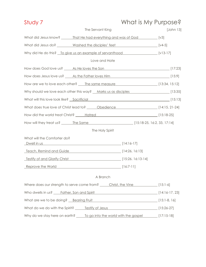| Study 7                                       |                                                                                                     | What is My Purpose? |           |
|-----------------------------------------------|-----------------------------------------------------------------------------------------------------|---------------------|-----------|
|                                               | The Servant King                                                                                    |                     | [John 13] |
|                                               | What did Jesus know? _______ That He had everything and was of God [v3]                             |                     |           |
|                                               | What did Jesus do? ________ Washed the disciples' feet __________________________ [v4-5]            |                     |           |
|                                               | Why did He do this? To give us an example of servanthood [v13-17]                                   |                     |           |
|                                               | Love and Hate                                                                                       |                     |           |
|                                               |                                                                                                     |                     |           |
|                                               | How does Jesus love us? As the Father loves Him 1994 1996 [15:9]                                    |                     |           |
|                                               | How are we to love each other? _____ The same measure ____________________________ [13:34, 15:12]   |                     |           |
|                                               | Why should we love each other this way? Marks us as disciples [13:35]                               |                     |           |
|                                               | What will this love look like? Sacrificial [15:13]                                                  |                     |           |
|                                               | What does true love of Christ lead to? _____ Obedience _________________________ [14:15, 21-24]     |                     |           |
|                                               |                                                                                                     |                     |           |
|                                               |                                                                                                     |                     |           |
|                                               | The Holy Spirit                                                                                     |                     |           |
| What will the Comforter do?                   |                                                                                                     |                     |           |
|                                               | Dwell in us [14:16-17]                                                                              |                     |           |
|                                               | Teach, Remind and Guide [14:26, 16:13]                                                              |                     |           |
|                                               |                                                                                                     |                     |           |
|                                               | Reprove the World [16:7-11]                                                                         |                     |           |
|                                               | A Branch                                                                                            |                     |           |
|                                               | Where does our strength to serve come from? <u>Christ, the Vine [15:1-6]</u> [15:1-6]               |                     |           |
| Who dwells in us? ____ Father, Son and Spirit |                                                                                                     | [14:16-17, 23]      |           |
|                                               | What are we to be doing? Bearing Fruit Manual Allen Manual (15:1-8, 16)                             |                     |           |
|                                               |                                                                                                     |                     |           |
|                                               | Why do we stay here on earth? <u>______To go into the world with the gospel</u> _________[17:15-18] |                     |           |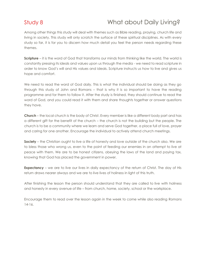## Study 8 What about Daily Living?

Among other things this study will deal with themes such as Bible reading, praying, church life and living in society. This study will only scratch the surface of these spiritual disciplines. As with every study so far, it is for you to discern how much detail you feel the person needs regarding these themes.

**Scripture** – it is the word of God that transforms our minds from thinking like the world. The world is constantly pressing its ideals and values upon us through the media - we need to read scripture in order to know God's will and His values and ideals. Scripture instructs us how to live and gives us hope and comfort.

We need to read the word of God daily. This is what the individual should be doing as they go through this study of John and Romans – that is why it is so important to have the reading programme and for them to follow it. After the study is finished, they should continue to read the word of God, and you could read it with them and share thoughts together or answer questions they have.

**Church** – the local church is the body of Christ. Every member is like a different body part and has a different gift for the benefit of the church – the church is not the building but the people. The church is to be a community where we learn and serve God together, a place full of love, prayer and caring for one another. Encourage the individual to actively attend church meetings.

**Society** – the Christian ought to live a life of honesty and love outside of the church also. We are to bless those who wrong us, even to the point of feeding our enemies in an attempt to live at peace with them. We are to be honest citizens, obeying the laws of the land and paying tax, knowing that God has placed the government in power.

**Expectancy** – we are to live our lives in daily expectancy of the return of Christ. The day of His return draws nearer always and we are to live lives of holiness in light of this truth.

After finishing the lesson the person should understand that they are called to live with holiness and honesty in every avenue of life – from church, home, society, school or the workplace.

Encourage them to read over the lesson again in the week to come while also reading Romans 14-16.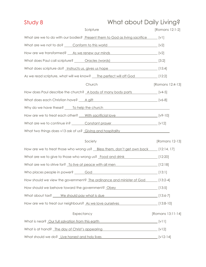| Study 8                                       | What about Daily Living?                                                                     |                   |
|-----------------------------------------------|----------------------------------------------------------------------------------------------|-------------------|
|                                               | Scripture                                                                                    | [Romans 12:1-2]   |
|                                               | What are we to do with our bodies? Present them to God as living sacrifice [V1]              |                   |
|                                               | [v2] What are we not to do? <u>Conform to this world</u>                                     |                   |
|                                               | How are we transformed? As we renew our minds [v2]                                           |                   |
|                                               | What does Paul call scripture? <u>Cacles (words)</u> [3:2]                                   |                   |
|                                               | What does scripture do? Instructs us, gives us hope [15:4]                                   |                   |
|                                               | As we read scripture, what will we know? __ The perfect will off God [12:2]                  |                   |
|                                               | Church                                                                                       | [Romans 12:4-13]  |
|                                               | How does Paul describe the church? A body of many body parts [V4-5]                          |                   |
|                                               |                                                                                              |                   |
|                                               | Why do we have these? _____ To help the church _________________________________             |                   |
|                                               | How are we to treat each other? With sacrificial love [v9-10]                                |                   |
|                                               | What are we to continue in? Constant prayer [v12]                                            |                   |
|                                               | What two things does v13 ask of us? Giving and hospitality <b>COVID-1000</b> What two things |                   |
|                                               | Society                                                                                      | [Romans 12-13]    |
|                                               | How are we to treat those who wrong us? Bless them, don't get own back [12:14, 17]           |                   |
|                                               | What are we to give to those who wrong us? Food and drink [12:20]                            |                   |
|                                               | What are we to strive for? To live at peace with all men [12:18]                             |                   |
|                                               |                                                                                              |                   |
|                                               | How should we view the government? The ordinance and minister of God [13:2-4]                |                   |
|                                               | How should we behave toward the government? Obey [13:5]                                      |                   |
|                                               | What about tax? We should pay what is due<br>[13:6-7]                                        |                   |
|                                               | How are we to treat our neighbours? As we love ourselves [13:8-10]                           |                   |
| Expectancy                                    |                                                                                              | [Romans 13:11-14] |
|                                               | What is near? <u>Our full salvation from this earth</u> [v11]                                |                   |
|                                               | What is at hand? The day of Christ's appearing [v12]                                         |                   |
| What should we do? Live honest and holy lives | $[12-14]$                                                                                    |                   |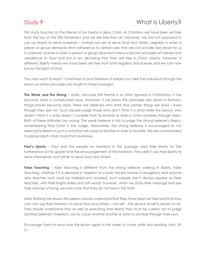### Study 9 Month is Liberty?

This study touches on the theme of our liberty in Jesus Christ. As Christians we have been set free from the law of the Old Testament and we are free from sin. However, we are not supposed to use our liberty to serve ourselves – instead we are to serve God and others. Legalism is when a person or group demands strict adherence to certain rules that are not actually laid down for us in scripture. License is when a person or group abandons many scriptural principles of holiness and obedience to God and live in sin, declaring that they are free in Christ. Liberty, however, is different; liberty means we have been set free from both legalism and license and we can now live by the Spirit of God.

You may want to read 1 Corinthians 8 and Galatians 5 before you take the individual through this lesson as similar principles are taught in these passages.

**The Weak and the Strong** – sadly, because this theme is so often ignored in Christianity, it has become quite a complicated issue. However, if we follow the principles laid down in Romans, things should become clear. There are believers who think that certain things are sinful – even though they are not. Such people judge those who don't think it is sinful while the person who doesn't think it is sinful doesn't consider that his brother or sister in Christ stumbles through them. Both of these attitudes are wrong. The weak believer is not to judge the strong believer's liberty, remembering that Christ is the Judge. Meanwhile, the strong believer is encouraged to not exercise his liberty in such a way that will cause his brother or sister to stumble. We are commanded to please each other more than ourselves.

**Paul's Liberty** – Paul and the people he mentions in this passage used their liberty for the furtherance of the gospel and the encouragement of the brethren. They didn't use their liberty to serve themselves, but rather to serve God and others.

**False Teaching** – false teaching is different from the strong believer walking in liberty. False teaching, whether it is a demand in legalism or a push toward license is dangerous and anyone who teaches such must be marked and avoided. Such people don't always appear as false teachers, with their bright smiles and soft words, however, when we study their message and see their manner of living, we may note that they do not teach the truth.

After finishing the lesson the person should understand that they have been set free and that they can now use their freedom to serve God and others – not self – the service of self is slavery to sin. They should understand that as well as exercising their liberty they must be careful not to judge another believer's freedom, nor to cause another brother or sister to stumble through their own.

Encourage them to read over the lesson again in the week to come while also reading John 18- 21.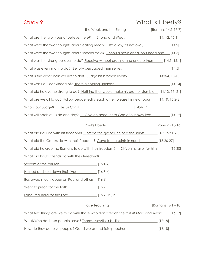## Study 9 What is Liberty?

| The Weak and the Strong<br>[Romans 14:1-15:7]                                                 |
|-----------------------------------------------------------------------------------------------|
| What are the two types of believer here? <u>Strong and Weak [14:1-2, 15:1]</u>                |
| What were the two thoughts about eating meat? $\frac{1}{2}$ lt's okay/lt's not okay [14:2]    |
| What were the two thoughts about special days? <u>Should have one/Don't need one</u> [14:5]   |
| What was the strong believer to do? Receive without arguing and endure them [14:1, 15:1]      |
| What was every man to do? Be fully persuaded themselves [14:5]                                |
| What is the weak believer not to do? Judge his brothers liberty [14:3-4, 10-13]               |
| What was Paul convinced of? There is nothing unclean [14:14] [14:14]                          |
| What did he ask the strong to do? Nothing that would make his brother stumble [14:13, 15, 21] |
| What are we all to do? Follow peace, edify each other, please his neighbour [14:19, 15:2-3]   |
| Who is our Judge? __ Jesus Christ ___________________________________ [14:4-12]               |
| What will each of us do one day? Give an account to God of our own lives [14:12]              |
| Paul's Liberty<br>[Romans 15-16]                                                              |
| What did Paul do with his freedom? Spread the gospel, helped the saints [15:19-20, 25]        |
|                                                                                               |
| What did the Greeks do with their freedom? Gave to the saints in need [15:26-27]              |
| What did he urge the Romans to do with their freedom? <u>Strive in prayer for him [15:30]</u> |
| What did Paul's friends do with their freedom?                                                |
| Servant of the church [16:1-2]                                                                |
| Helped and laid down their lives [16:3-4]                                                     |
| Bestowed much labour on Paul and others [16:6]                                                |
| Went to prison for the faith [16:7]                                                           |
| Laboured hard for the Lord [16:9, 12, 21]                                                     |
| <b>False Teaching</b><br>[Romans 16:17-18]                                                    |
| What two things are we to do with those who don't teach the truth? Mark and Avoid [16:17]     |
| What/Who do these people serve? Themselves/their bellies<br>[16:18]                           |
| How do they deceive people? Good words and fair speeches<br>[16:18]                           |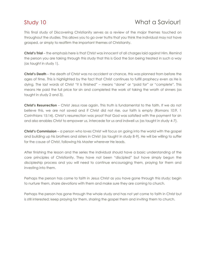### Study 10 What a Saviour!

This final study of Discovering Christianity serves as a review of the major themes touched on throughout the studies. This allows you to go over truths that you think the individual may not have grasped, or simply to reaffirm the important themes of Christianity.

**Christ's Trial** – the emphasis here is that Christ was innocent of all charges laid against Him. Remind the person you are taking through this study that this is God the Son being treated in such a way (as taught in study 1).

**Christ's Death** – the death of Christ was no accident or chance, this was planned from before the ages of time. This is highlighted by the fact that Christ continues to fulfill prophecy even as He is dying. The last words of Christ "it is finished" – means "done" or "paid for" or "complete". This means He paid the full price for sin and completed the work of taking the wrath of sinners (as taught in study 2 and 3).

**Christ's Resurrection** – Christ Jesus rose again. This truth is fundamental to the faith. If we do not believe this, we are not saved and if Christ did not rise, our faith is empty (Romans 10:9, 1 Corinthians 15:14). Christ's resurrection was proof that God was satisfied with the payment for sin and also enables Christ to empower us, intercede for us and indwell us (as taught in study 4-7).

**Christ's Commission** – a person who loves Christ will focus on going into the world with the gospel and building up his brothers and sisters in Christ (as taught in study 8-9). He will be willing to suffer for the cause of Christ, following his Master wherever He leads.

After finishing the lesson and the series the individual should have a basic understanding of the core principles of Christianity. They have not been "discipled" but have simply begun the discipleship process and you will need to continue encouraging them, praying for them and investing into them.

Perhaps the person has come to faith in Jesus Christ as you have gone through this study; begin to nurture them, share devotions with them and make sure they are coming to church.

Perhaps the person has gone through the whole study and has not yet come to faith in Christ but is still interested; keep praying for them, sharing the gospel them and inviting them to church.